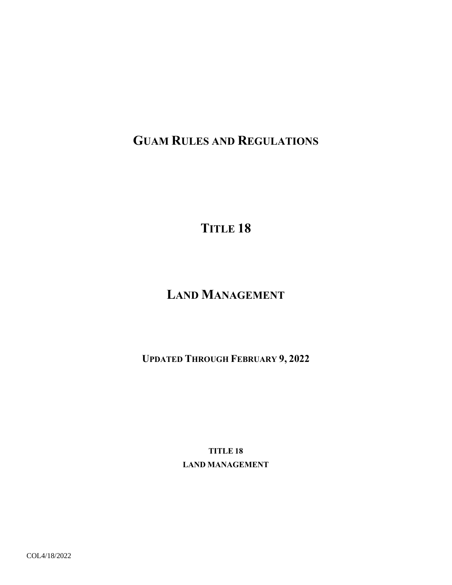## **GUAM RULES AND REGULATIONS**

**TITLE 18** 

# **LAND MANAGEMENT**

**UPDATED THROUGH FEBRUARY 9, 2022** 

**TITLE 18 LAND MANAGEMENT**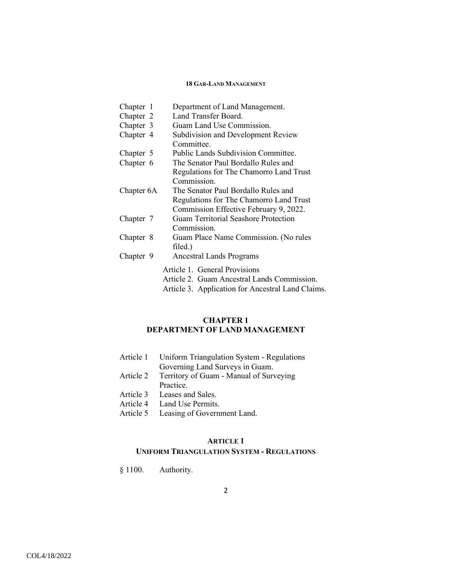| Department of Land Management.                    |
|---------------------------------------------------|
| Land Transfer Board.                              |
| Guam Land Use Commission.                         |
| <b>Subdivision and Development Review</b>         |
| Committee.                                        |
| <b>Public Lands Subdivision Committee.</b>        |
| The Senator Paul Bordallo Rules and               |
| Regulations for The Chamorro Land Trust           |
| Commission.                                       |
| The Senator Paul Bordallo Rules and               |
| Regulations for The Chamorro Land Trust           |
| Commission Effective February 9, 2022.            |
| <b>Guam Territorial Seashore Protection</b>       |
| Commission.                                       |
| Guam Place Name Commission. (No rules             |
| filed.)                                           |
| Ancestral Lands Programs                          |
| Article 1. General Provisions                     |
| Article 2. Guam Ancestral Lands Commission.       |
| Article 3. Application for Ancestral Land Claims. |
|                                                   |

## **CHAPTER 1 DEPARTMENT OF LAND MANAGEMENT**

| Article 1 Uniform Triangulation System - Regulations |
|------------------------------------------------------|
| Governing Land Surveys in Guam.                      |
| Article 2 Territory of Guam - Manual of Surveying    |
| Practice.                                            |
| Article 3 Leases and Sales.                          |
| Article 4 Land Use Permits.                          |
| Article 5 Leasing of Government Land.                |

## **ARTICLE 1**

## **UNIFORM TRIANGULATION SYSTEM - REGULATIONS**

§ 1100. Authority.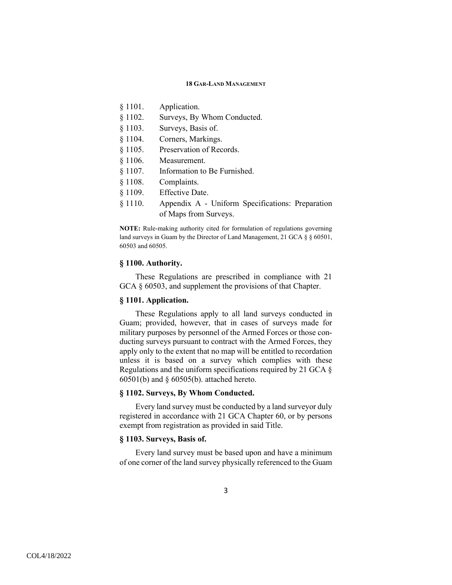- § 1101. Application.
- § 1102. Surveys, By Whom Conducted.
- § 1103. Surveys, Basis of.
- § 1104. Corners, Markings.
- § 1105. Preservation of Records.
- § 1106. Measurement.
- § 1107. Information to Be Furnished.
- § 1108. Complaints.
- § 1109. Effective Date.
- § 1110. Appendix A Uniform Specifications: Preparation of Maps from Surveys.

**NOTE:** Rule-making authority cited for formulation of regulations governing land surveys in Guam by the Director of Land Management, 21 GCA § § 60501, 60503 and 60505.

## **§ 1100. Authority.**

These Regulations are prescribed in compliance with 21 GCA § 60503, and supplement the provisions of that Chapter.

## **§ 1101. Application.**

These Regulations apply to all land surveys conducted in Guam; provided, however, that in cases of surveys made for military purposes by personnel of the Armed Forces or those conducting surveys pursuant to contract with the Armed Forces, they apply only to the extent that no map will be entitled to recordation unless it is based on a survey which complies with these Regulations and the uniform specifications required by 21 GCA § 60501(b) and § 60505(b). attached hereto.

## **§ 1102. Surveys, By Whom Conducted.**

Every land survey must be conducted by a land surveyor duly registered in accordance with 21 GCA Chapter 60, or by persons exempt from registration as provided in said Title.

## **§ 1103. Surveys, Basis of.**

Every land survey must be based upon and have a minimum of one corner of the land survey physically referenced to the Guam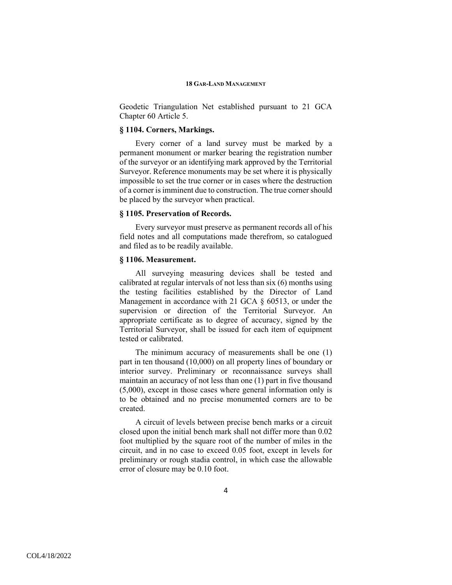Geodetic Triangulation Net established pursuant to 21 GCA Chapter 60 Article 5.

## **§ 1104. Corners, Markings.**

Every corner of a land survey must be marked by a permanent monument or marker bearing the registration number of the surveyor or an identifying mark approved by the Territorial Surveyor. Reference monuments may be set where it is physically impossible to set the true corner or in cases where the destruction of a corner is imminent due to construction. The true corner should be placed by the surveyor when practical.

## **§ 1105. Preservation of Records.**

Every surveyor must preserve as permanent records all of his field notes and all computations made therefrom, so catalogued and filed as to be readily available.

## **§ 1106. Measurement.**

All surveying measuring devices shall be tested and calibrated at regular intervals of not less than six (6) months using the testing facilities established by the Director of Land Management in accordance with 21 GCA § 60513, or under the supervision or direction of the Territorial Surveyor. An appropriate certificate as to degree of accuracy, signed by the Territorial Surveyor, shall be issued for each item of equipment tested or calibrated.

The minimum accuracy of measurements shall be one (1) part in ten thousand (10,000) on all property lines of boundary or interior survey. Preliminary or reconnaissance surveys shall maintain an accuracy of not less than one (1) part in five thousand (5,000), except in those cases where general information only is to be obtained and no precise monumented corners are to be created.

A circuit of levels between precise bench marks or a circuit closed upon the initial bench mark shall not differ more than 0.02 foot multiplied by the square root of the number of miles in the circuit, and in no case to exceed 0.05 foot, except in levels for preliminary or rough stadia control, in which case the allowable error of closure may be 0.10 foot.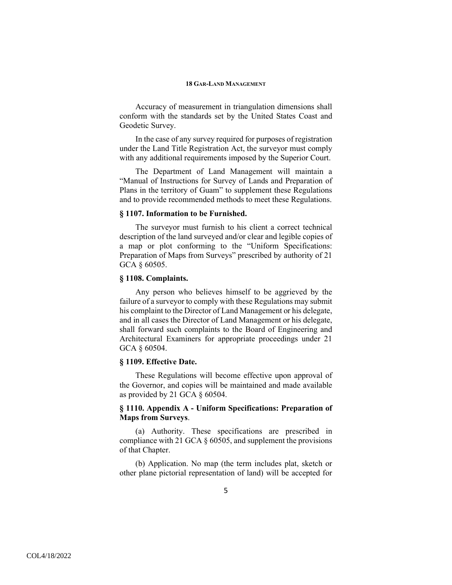Accuracy of measurement in triangulation dimensions shall conform with the standards set by the United States Coast and Geodetic Survey.

In the case of any survey required for purposes of registration under the Land Title Registration Act, the surveyor must comply with any additional requirements imposed by the Superior Court.

The Department of Land Management will maintain a "Manual of Instructions for Survey of Lands and Preparation of Plans in the territory of Guam" to supplement these Regulations and to provide recommended methods to meet these Regulations.

#### **§ 1107. Information to be Furnished.**

The surveyor must furnish to his client a correct technical description of the land surveyed and/or clear and legible copies of a map or plot conforming to the "Uniform Specifications: Preparation of Maps from Surveys" prescribed by authority of 21 GCA § 60505.

#### **§ 1108. Complaints.**

Any person who believes himself to be aggrieved by the failure of a surveyor to comply with these Regulations may submit his complaint to the Director of Land Management or his delegate, and in all cases the Director of Land Management or his delegate, shall forward such complaints to the Board of Engineering and Architectural Examiners for appropriate proceedings under 21 GCA § 60504.

## **§ 1109. Effective Date.**

These Regulations will become effective upon approval of the Governor, and copies will be maintained and made available as provided by 21 GCA § 60504.

## **§ 1110. Appendix A - Uniform Specifications: Preparation of Maps from Surveys**.

(a) Authority. These specifications are prescribed in compliance with 21 GCA § 60505, and supplement the provisions of that Chapter.

(b) Application. No map (the term includes plat, sketch or other plane pictorial representation of land) will be accepted for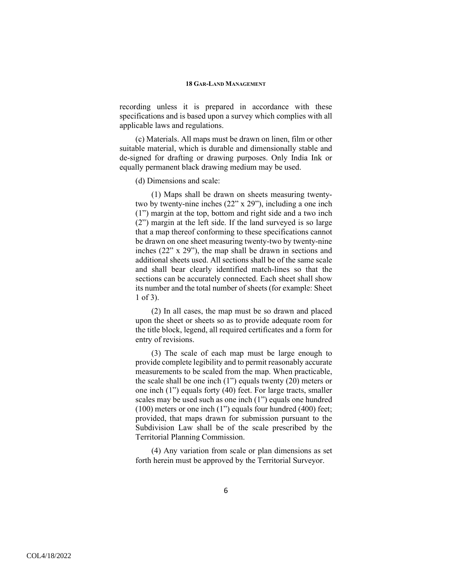recording unless it is prepared in accordance with these specifications and is based upon a survey which complies with all applicable laws and regulations.

(c) Materials. All maps must be drawn on linen, film or other suitable material, which is durable and dimensionally stable and de-signed for drafting or drawing purposes. Only India Ink or equally permanent black drawing medium may be used.

#### (d) Dimensions and scale:

(1) Maps shall be drawn on sheets measuring twentytwo by twenty-nine inches (22" x 29"), including a one inch (1") margin at the top, bottom and right side and a two inch (2") margin at the left side. If the land surveyed is so large that a map thereof conforming to these specifications cannot be drawn on one sheet measuring twenty-two by twenty-nine inches (22" x 29"), the map shall be drawn in sections and additional sheets used. All sections shall be of the same scale and shall bear clearly identified match-lines so that the sections can be accurately connected. Each sheet shall show its number and the total number of sheets (for example: Sheet 1 of 3).

(2) In all cases, the map must be so drawn and placed upon the sheet or sheets so as to provide adequate room for the title block, legend, all required certificates and a form for entry of revisions.

(3) The scale of each map must be large enough to provide complete legibility and to permit reasonably accurate measurements to be scaled from the map. When practicable, the scale shall be one inch (1") equals twenty (20) meters or one inch (1") equals forty (40) feet. For large tracts, smaller scales may be used such as one inch (1") equals one hundred (100) meters or one inch (1") equals four hundred (400) feet; provided, that maps drawn for submission pursuant to the Subdivision Law shall be of the scale prescribed by the Territorial Planning Commission.

(4) Any variation from scale or plan dimensions as set forth herein must be approved by the Territorial Surveyor.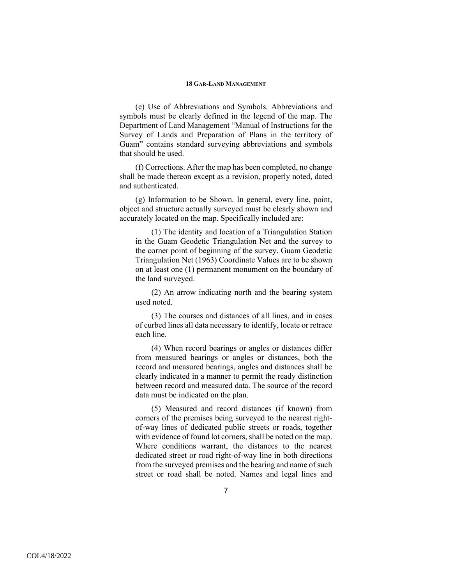(e) Use of Abbreviations and Symbols. Abbreviations and symbols must be clearly defined in the legend of the map. The Department of Land Management "Manual of Instructions for the Survey of Lands and Preparation of Plans in the territory of Guam" contains standard surveying abbreviations and symbols that should be used.

(f) Corrections. After the map has been completed, no change shall be made thereon except as a revision, properly noted, dated and authenticated.

(g) Information to be Shown. In general, every line, point, object and structure actually surveyed must be clearly shown and accurately located on the map. Specifically included are:

(1) The identity and location of a Triangulation Station in the Guam Geodetic Triangulation Net and the survey to the corner point of beginning of the survey. Guam Geodetic Triangulation Net (1963) Coordinate Values are to be shown on at least one (1) permanent monument on the boundary of the land surveyed.

(2) An arrow indicating north and the bearing system used noted.

(3) The courses and distances of all lines, and in cases of curbed lines all data necessary to identify, locate or retrace each line.

(4) When record bearings or angles or distances differ from measured bearings or angles or distances, both the record and measured bearings, angles and distances shall be clearly indicated in a manner to permit the ready distinction between record and measured data. The source of the record data must be indicated on the plan.

(5) Measured and record distances (if known) from corners of the premises being surveyed to the nearest rightof-way lines of dedicated public streets or roads, together with evidence of found lot corners, shall be noted on the map. Where conditions warrant, the distances to the nearest dedicated street or road right-of-way line in both directions from the surveyed premises and the bearing and name of such street or road shall be noted. Names and legal lines and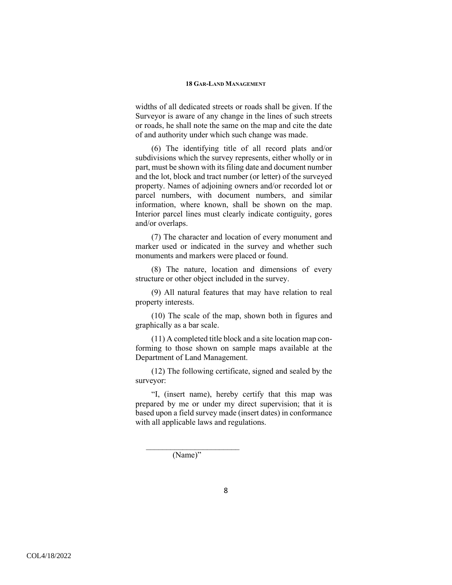widths of all dedicated streets or roads shall be given. If the Surveyor is aware of any change in the lines of such streets or roads, he shall note the same on the map and cite the date of and authority under which such change was made.

(6) The identifying title of all record plats and/or subdivisions which the survey represents, either wholly or in part, must be shown with its filing date and document number and the lot, block and tract number (or letter) of the surveyed property. Names of adjoining owners and/or recorded lot or parcel numbers, with document numbers, and similar information, where known, shall be shown on the map. Interior parcel lines must clearly indicate contiguity, gores and/or overlaps.

(7) The character and location of every monument and marker used or indicated in the survey and whether such monuments and markers were placed or found.

(8) The nature, location and dimensions of every structure or other object included in the survey.

(9) All natural features that may have relation to real property interests.

(10) The scale of the map, shown both in figures and graphically as a bar scale.

(11) A completed title block and a site location map conforming to those shown on sample maps available at the Department of Land Management.

(12) The following certificate, signed and sealed by the surveyor:

"I, (insert name), hereby certify that this map was prepared by me or under my direct supervision; that it is based upon a field survey made (insert dates) in conformance with all applicable laws and regulations.

(Name)"

 $\mathcal{L}_\text{max} = \frac{1}{2} \sum_{i=1}^{n} \frac{1}{2} \sum_{i=1}^{n} \frac{1}{2} \sum_{i=1}^{n} \frac{1}{2} \sum_{i=1}^{n} \frac{1}{2} \sum_{i=1}^{n} \frac{1}{2} \sum_{i=1}^{n} \frac{1}{2} \sum_{i=1}^{n} \frac{1}{2} \sum_{i=1}^{n} \frac{1}{2} \sum_{i=1}^{n} \frac{1}{2} \sum_{i=1}^{n} \frac{1}{2} \sum_{i=1}^{n} \frac{1}{2} \sum_{i=1}^{n} \frac{1$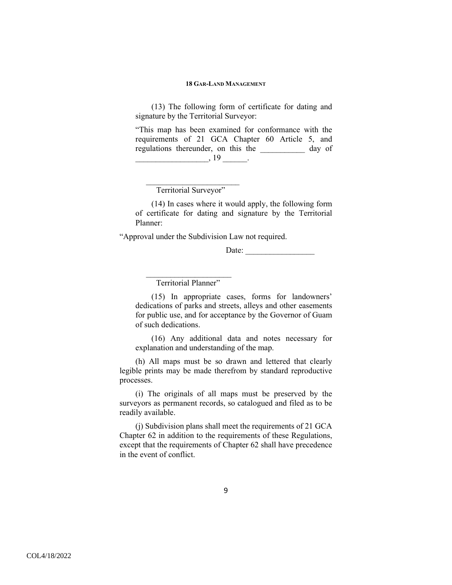(13) The following form of certificate for dating and signature by the Territorial Surveyor:

"This map has been examined for conformance with the requirements of 21 GCA Chapter 60 Article 5, and regulations thereunder, on this the day of  $\frac{19}{19}$ .

Territorial Surveyor"

 $\mathcal{L}_\text{max} = \frac{1}{2} \sum_{i=1}^{n} \frac{1}{2} \sum_{i=1}^{n} \frac{1}{2} \sum_{i=1}^{n} \frac{1}{2} \sum_{i=1}^{n} \frac{1}{2} \sum_{i=1}^{n} \frac{1}{2} \sum_{i=1}^{n} \frac{1}{2} \sum_{i=1}^{n} \frac{1}{2} \sum_{i=1}^{n} \frac{1}{2} \sum_{i=1}^{n} \frac{1}{2} \sum_{i=1}^{n} \frac{1}{2} \sum_{i=1}^{n} \frac{1}{2} \sum_{i=1}^{n} \frac{1$ 

(14) In cases where it would apply, the following form of certificate for dating and signature by the Territorial Planner:

"Approval under the Subdivision Law not required.

Date: \_\_\_\_\_\_\_\_\_\_\_\_\_\_\_\_\_

Territorial Planner"

 $\mathcal{L}=\mathcal{L}=\mathcal{L}=\mathcal{L}=\mathcal{L}=\mathcal{L}=\mathcal{L}=\mathcal{L}=\mathcal{L}=\mathcal{L}=\mathcal{L}=\mathcal{L}=\mathcal{L}=\mathcal{L}=\mathcal{L}=\mathcal{L}=\mathcal{L}=\mathcal{L}=\mathcal{L}=\mathcal{L}=\mathcal{L}=\mathcal{L}=\mathcal{L}=\mathcal{L}=\mathcal{L}=\mathcal{L}=\mathcal{L}=\mathcal{L}=\mathcal{L}=\mathcal{L}=\mathcal{L}=\mathcal{L}=\mathcal{L}=\mathcal{L}=\mathcal{L}=\mathcal{L}=\mathcal{$ 

(15) In appropriate cases, forms for landowners' dedications of parks and streets, alleys and other easements for public use, and for acceptance by the Governor of Guam of such dedications.

(16) Any additional data and notes necessary for explanation and understanding of the map.

(h) All maps must be so drawn and lettered that clearly legible prints may be made therefrom by standard reproductive processes.

(i) The originals of all maps must be preserved by the surveyors as permanent records, so catalogued and filed as to be readily available.

(j) Subdivision plans shall meet the requirements of 21 GCA Chapter 62 in addition to the requirements of these Regulations, except that the requirements of Chapter 62 shall have precedence in the event of conflict.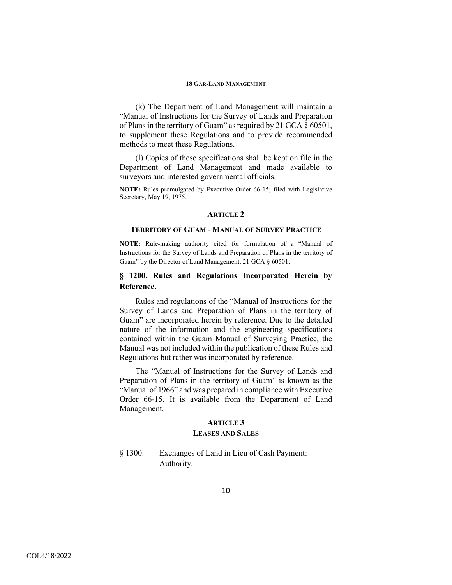(k) The Department of Land Management will maintain a "Manual of Instructions for the Survey of Lands and Preparation of Plans in the territory of Guam" as required by 21 GCA § 60501, to supplement these Regulations and to provide recommended methods to meet these Regulations.

(l) Copies of these specifications shall be kept on file in the Department of Land Management and made available to surveyors and interested governmental officials.

**NOTE:** Rules promulgated by Executive Order 66-15; filed with Legislative Secretary, May 19, 1975.

#### **ARTICLE 2**

#### **TERRITORY OF GUAM - MANUAL OF SURVEY PRACTICE**

**NOTE:** Rule-making authority cited for formulation of a "Manual of Instructions for the Survey of Lands and Preparation of Plans in the territory of Guam" by the Director of Land Management, 21 GCA § 60501.

## **§ 1200. Rules and Regulations Incorporated Herein by Reference.**

Rules and regulations of the "Manual of Instructions for the Survey of Lands and Preparation of Plans in the territory of Guam" are incorporated herein by reference. Due to the detailed nature of the information and the engineering specifications contained within the Guam Manual of Surveying Practice, the Manual was not included within the publication of these Rules and Regulations but rather was incorporated by reference.

The "Manual of Instructions for the Survey of Lands and Preparation of Plans in the territory of Guam" is known as the "Manual of 1966" and was prepared in compliance with Executive Order 66-15. It is available from the Department of Land Management.

## **ARTICLE 3 LEASES AND SALES**

§ 1300. Exchanges of Land in Lieu of Cash Payment: Authority.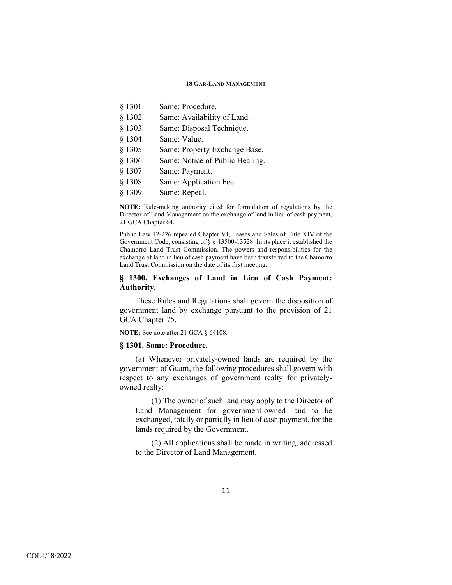- § 1301. Same: Procedure.
- § 1302. Same: Availability of Land.
- § 1303. Same: Disposal Technique.
- § 1304. Same: Value.
- § 1305. Same: Property Exchange Base.
- § 1306. Same: Notice of Public Hearing.
- § 1307. Same: Payment.
- § 1308. Same: Application Fee.
- § 1309. Same: Repeal.

**NOTE:** Rule-making authority cited for formulation of regulations by the Director of Land Management on the exchange of land in lieu of cash payment, 21 GCA Chapter 64.

Public Law 12-226 repealed Chapter VI, Leases and Sales of Title XIV of the Government Code, consisting of § § 13500-13528. In its place it established the Chamorro Land Trust Commission. The powers and responsibilities for the exchange of land in lieu of cash payment have been transferred to the Chamorro Land Trust Commission on the date of its first meeting..

## **§ 1300. Exchanges of Land in Lieu of Cash Payment: Authority.**

These Rules and Regulations shall govern the disposition of government land by exchange pursuant to the provision of 21 GCA Chapter 75.

**NOTE:** See note after 21 GCA § 64108.

## **§ 1301. Same: Procedure.**

(a) Whenever privately-owned lands are required by the government of Guam, the following procedures shall govern with respect to any exchanges of government realty for privatelyowned realty:

(1) The owner of such land may apply to the Director of Land Management for government-owned land to be exchanged, totally or partially in lieu of cash payment, for the lands required by the Government.

(2) All applications shall be made in writing, addressed to the Director of Land Management.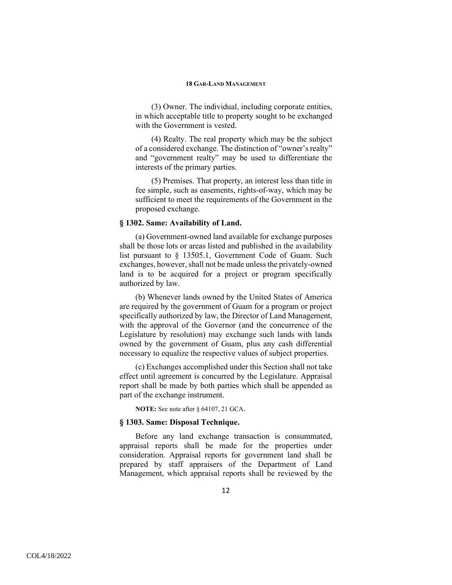(3) Owner. The individual, including corporate entities, in which acceptable title to property sought to be exchanged with the Government is vested.

(4) Realty. The real property which may be the subject of a considered exchange. The distinction of "owner's realty" and "government realty" may be used to differentiate the interests of the primary parties.

(5) Premises. That property, an interest less than title in fee simple, such as easements, rights-of-way, which may be sufficient to meet the requirements of the Government in the proposed exchange.

## **§ 1302. Same: Availability of Land.**

(a) Government-owned land available for exchange purposes shall be those lots or areas listed and published in the availability list pursuant to § 13505.1, Government Code of Guam. Such exchanges, however, shall not be made unless the privately-owned land is to be acquired for a project or program specifically authorized by law.

(b) Whenever lands owned by the United States of America are required by the government of Guam for a program or project specifically authorized by law, the Director of Land Management, with the approval of the Governor (and the concurrence of the Legislature by resolution) may exchange such lands with lands owned by the government of Guam, plus any cash differential necessary to equalize the respective values of subject properties.

(c) Exchanges accomplished under this Section shall not take effect until agreement is concurred by the Legislature. Appraisal report shall be made by both parties which shall be appended as part of the exchange instrument.

**NOTE:** See note after § 64107, 21 GCA.

## **§ 1303. Same: Disposal Technique.**

Before any land exchange transaction is consummated, appraisal reports shall be made for the properties under consideration. Appraisal reports for government land shall be prepared by staff appraisers of the Department of Land Management, which appraisal reports shall be reviewed by the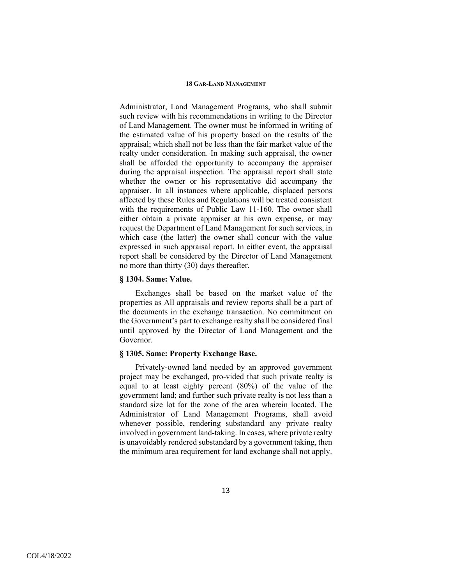Administrator, Land Management Programs, who shall submit such review with his recommendations in writing to the Director of Land Management. The owner must be informed in writing of the estimated value of his property based on the results of the appraisal; which shall not be less than the fair market value of the realty under consideration. In making such appraisal, the owner shall be afforded the opportunity to accompany the appraiser during the appraisal inspection. The appraisal report shall state whether the owner or his representative did accompany the appraiser. In all instances where applicable, displaced persons affected by these Rules and Regulations will be treated consistent with the requirements of Public Law 11-160. The owner shall either obtain a private appraiser at his own expense, or may request the Department of Land Management for such services, in which case (the latter) the owner shall concur with the value expressed in such appraisal report. In either event, the appraisal report shall be considered by the Director of Land Management no more than thirty (30) days thereafter.

## **§ 1304. Same: Value.**

Exchanges shall be based on the market value of the properties as All appraisals and review reports shall be a part of the documents in the exchange transaction. No commitment on the Government's part to exchange realty shall be considered final until approved by the Director of Land Management and the Governor.

## **§ 1305. Same: Property Exchange Base.**

Privately-owned land needed by an approved government project may be exchanged, pro-vided that such private realty is equal to at least eighty percent (80%) of the value of the government land; and further such private realty is not less than a standard size lot for the zone of the area wherein located. The Administrator of Land Management Programs, shall avoid whenever possible, rendering substandard any private realty involved in government land-taking. In cases, where private realty is unavoidably rendered substandard by a government taking, then the minimum area requirement for land exchange shall not apply.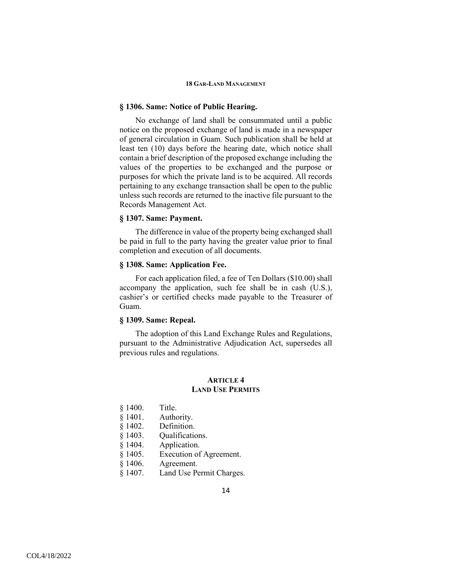## **§ 1306. Same: Notice of Public Hearing.**

No exchange of land shall be consummated until a public notice on the proposed exchange of land is made in a newspaper of general circulation in Guam. Such publication shall be held at least ten (10) days before the hearing date, which notice shall contain a brief description of the proposed exchange including the values of the properties to be exchanged and the purpose or purposes for which the private land is to be acquired. All records pertaining to any exchange transaction shall be open to the public unless such records are returned to the inactive file pursuant to the Records Management Act.

## **§ 1307. Same: Payment.**

The difference in value of the property being exchanged shall be paid in full to the party having the greater value prior to final completion and execution of all documents.

## **§ 1308. Same: Application Fee.**

For each application filed, a fee of Ten Dollars (\$10.00) shall accompany the application, such fee shall be in cash (U.S.), cashier's or certified checks made payable to the Treasurer of Guam.

## **§ 1309. Same: Repeal.**

The adoption of this Land Exchange Rules and Regulations, pursuant to the Administrative Adjudication Act, supersedes all previous rules and regulations.

## **ARTICLE 4 LAND USE PERMITS**

- § 1400. Title.
- § 1401. Authority.
- § 1402. Definition.
- § 1403. Qualifications.
- § 1404. Application.
- § 1405. Execution of Agreement.
- § 1406. Agreement.
- § 1407. Land Use Permit Charges.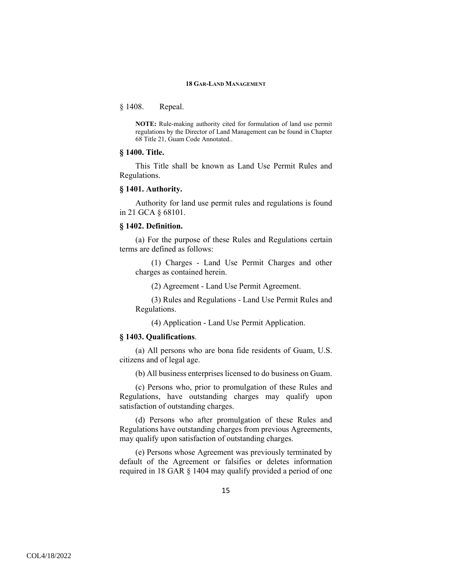§ 1408. Repeal.

**NOTE:** Rule-making authority cited for formulation of land use permit regulations by the Director of Land Management can be found in Chapter 68 Title 21, Guam Code Annotated..

## **§ 1400. Title.**

This Title shall be known as Land Use Permit Rules and Regulations.

#### **§ 1401. Authority.**

Authority for land use permit rules and regulations is found in 21 GCA § 68101.

## **§ 1402. Definition.**

(a) For the purpose of these Rules and Regulations certain terms are defined as follows:

(1) Charges - Land Use Permit Charges and other charges as contained herein.

(2) Agreement - Land Use Permit Agreement.

(3) Rules and Regulations - Land Use Permit Rules and Regulations.

(4) Application - Land Use Permit Application.

## **§ 1403. Qualifications**.

(a) All persons who are bona fide residents of Guam, U.S. citizens and of legal age.

(b) All business enterprises licensed to do business on Guam.

(c) Persons who, prior to promulgation of these Rules and Regulations, have outstanding charges may qualify upon satisfaction of outstanding charges.

(d) Persons who after promulgation of these Rules and Regulations have outstanding charges from previous Agreements, may qualify upon satisfaction of outstanding charges.

(e) Persons whose Agreement was previously terminated by default of the Agreement or falsifies or deletes information required in 18 GAR § 1404 may qualify provided a period of one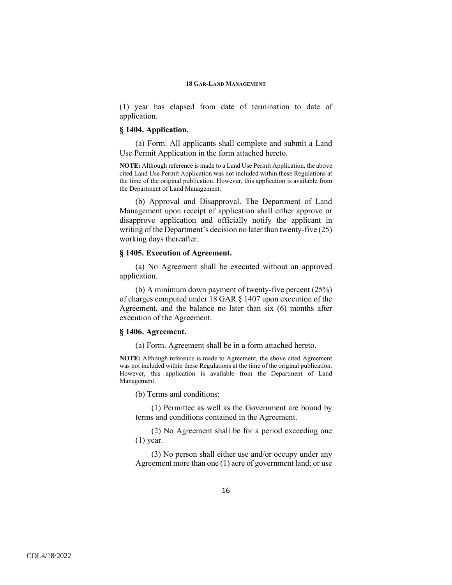(1) year has elapsed from date of termination to date of application.

## **§ 1404. Application.**

(a) Form. All applicants shall complete and submit a Land Use Permit Application in the form attached hereto.

**NOTE:** Although reference is made to a Land Use Permit Application, the above cited Land Use Permit Application was not included within these Regulations at the time of the original publication. However, this application is available from the Department of Land Management.

(b) Approval and Disapproval. The Department of Land Management upon receipt of application shall either approve or disapprove application and officially notify the applicant in writing of the Department's decision no later than twenty-five (25) working days thereafter.

## **§ 1405. Execution of Agreement.**

(a) No Agreement shall be executed without an approved application.

(b) A minimum down payment of twenty-five percent (25%) of charges computed under 18 GAR § 1407 upon execution of the Agreement, and the balance no later than six (6) months after execution of the Agreement.

#### **§ 1406. Agreement.**

(a) Form. Agreement shall be in a form attached hereto.

**NOTE:** Although reference is made to Agreement, the above cited Agreement was not included within these Regulations at the time of the original publication. However, this application is available from the Department of Land Management.

(b) Terms and conditions:

(1) Permittee as well as the Government are bound by terms and conditions contained in the Agreement.

(2) No Agreement shall be for a period exceeding one (1) year.

(3) No person shall either use and/or occupy under any Agreement more than one (1) acre of government land; or use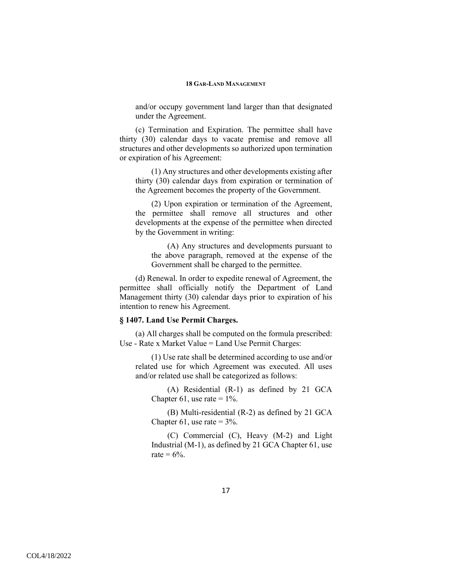and/or occupy government land larger than that designated under the Agreement.

(c) Termination and Expiration. The permittee shall have thirty (30) calendar days to vacate premise and remove all structures and other developments so authorized upon termination or expiration of his Agreement:

(1) Any structures and other developments existing after thirty (30) calendar days from expiration or termination of the Agreement becomes the property of the Government.

(2) Upon expiration or termination of the Agreement, the permittee shall remove all structures and other developments at the expense of the permittee when directed by the Government in writing:

(A) Any structures and developments pursuant to the above paragraph, removed at the expense of the Government shall be charged to the permittee.

(d) Renewal. In order to expedite renewal of Agreement, the permittee shall officially notify the Department of Land Management thirty (30) calendar days prior to expiration of his intention to renew his Agreement.

## **§ 1407. Land Use Permit Charges.**

(a) All charges shall be computed on the formula prescribed: Use - Rate x Market Value = Land Use Permit Charges:

(1) Use rate shall be determined according to use and/or related use for which Agreement was executed. All uses and/or related use shall be categorized as follows:

(A) Residential (R-1) as defined by 21 GCA Chapter 61, use rate  $= 1\%$ .

(B) Multi-residential (R-2) as defined by 21 GCA Chapter 61, use rate  $= 3\%$ .

(C) Commercial (C), Heavy (M-2) and Light Industrial (M-1), as defined by 21 GCA Chapter 61, use rate  $= 6\%$ .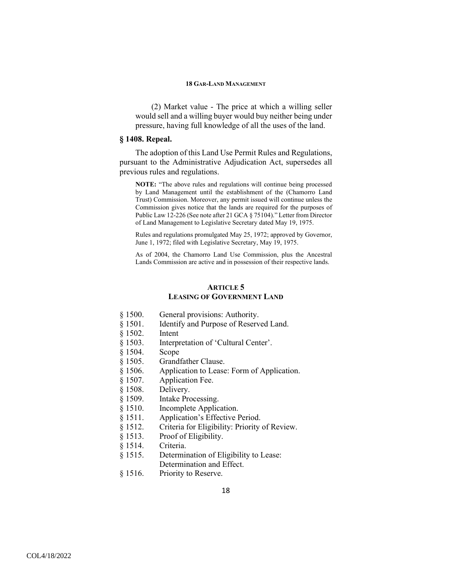(2) Market value - The price at which a willing seller would sell and a willing buyer would buy neither being under pressure, having full knowledge of all the uses of the land.

## **§ 1408. Repeal.**

The adoption of this Land Use Permit Rules and Regulations, pursuant to the Administrative Adjudication Act, supersedes all previous rules and regulations.

**NOTE:** "The above rules and regulations will continue being processed by Land Management until the establishment of the (Chamorro Land Trust) Commission. Moreover, any permit issued will continue unless the Commission gives notice that the lands are required for the purposes of Public Law 12-226 (See note after 21 GCA § 75104)." Letter from Director of Land Management to Legislative Secretary dated May 19, 1975.

Rules and regulations promulgated May 25, 1972; approved by Governor, June 1, 1972; filed with Legislative Secretary, May 19, 1975.

As of 2004, the Chamorro Land Use Commission, plus the Ancestral Lands Commission are active and in possession of their respective lands.

## **ARTICLE 5 LEASING OF GOVERNMENT LAND**

- § 1500. General provisions: Authority.
- § 1501. Identify and Purpose of Reserved Land.
- § 1502. Intent
- § 1503. Interpretation of 'Cultural Center'.
- § 1504. Scope
- § 1505. Grandfather Clause.
- § 1506. Application to Lease: Form of Application.
- § 1507. Application Fee.
- § 1508. Delivery.
- § 1509. Intake Processing.
- § 1510. Incomplete Application.
- § 1511. Application's Effective Period.
- § 1512. Criteria for Eligibility: Priority of Review.
- § 1513. Proof of Eligibility.
- § 1514. Criteria.
- § 1515. Determination of Eligibility to Lease:
	- Determination and Effect.
- § 1516. Priority to Reserve.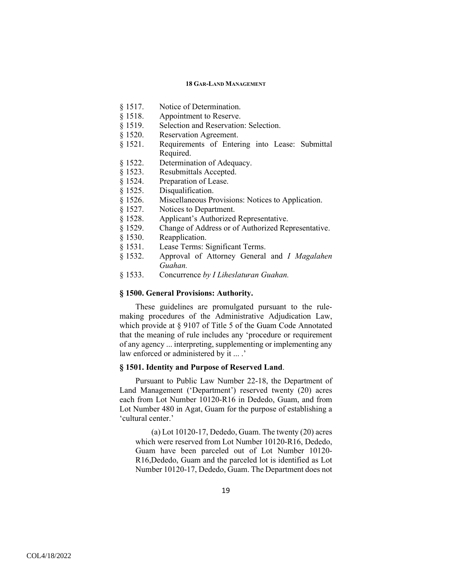- § 1517. Notice of Determination.
- § 1518. Appointment to Reserve.
- § 1519. Selection and Reservation: Selection.
- § 1520. Reservation Agreement.
- § 1521. Requirements of Entering into Lease: Submittal Required.
- § 1522. Determination of Adequacy.
- § 1523. Resubmittals Accepted.
- § 1524. Preparation of Lease.
- § 1525. Disqualification.
- § 1526. Miscellaneous Provisions: Notices to Application.
- § 1527. Notices to Department.
- § 1528. Applicant's Authorized Representative.
- § 1529. Change of Address or of Authorized Representative.
- § 1530. Reapplication.
- § 1531. Lease Terms: Significant Terms.
- § 1532. Approval of Attorney General and *I Magalahen Guahan.*
- § 1533. Concurrence *by I Liheslaturan Guahan.*

## **§ 1500. General Provisions: Authority.**

These guidelines are promulgated pursuant to the rulemaking procedures of the Administrative Adjudication Law, which provide at § 9107 of Title 5 of the Guam Code Annotated that the meaning of rule includes any 'procedure or requirement of any agency ... interpreting, supplementing or implementing any law enforced or administered by it ... .'

## **§ 1501. Identity and Purpose of Reserved Land**.

Pursuant to Public Law Number 22-18, the Department of Land Management ('Department') reserved twenty (20) acres each from Lot Number 10120-R16 in Dededo, Guam, and from Lot Number 480 in Agat, Guam for the purpose of establishing a 'cultural center.'

(a) Lot 10120-17, Dededo, Guam. The twenty (20) acres which were reserved from Lot Number 10120-R16, Dededo, Guam have been parceled out of Lot Number 10120- R16,Dededo, Guam and the parceled lot is identified as Lot Number 10120-17, Dededo, Guam. The Department does not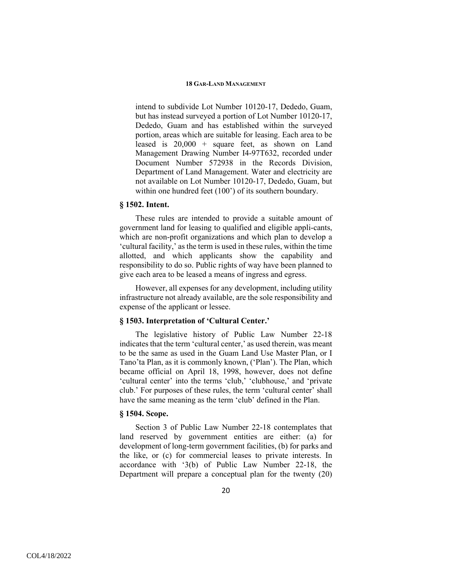intend to subdivide Lot Number 10120-17, Dededo, Guam, but has instead surveyed a portion of Lot Number 10120-17, Dededo, Guam and has established within the surveyed portion, areas which are suitable for leasing. Each area to be leased is 20,000 + square feet, as shown on Land Management Drawing Number I4-97T632, recorded under Document Number 572938 in the Records Division, Department of Land Management. Water and electricity are not available on Lot Number 10120-17, Dededo, Guam, but within one hundred feet (100') of its southern boundary.

#### **§ 1502. Intent.**

These rules are intended to provide a suitable amount of government land for leasing to qualified and eligible appli-cants, which are non-profit organizations and which plan to develop a 'cultural facility,' as the term is used in these rules, within the time allotted, and which applicants show the capability and responsibility to do so. Public rights of way have been planned to give each area to be leased a means of ingress and egress.

However, all expenses for any development, including utility infrastructure not already available, are the sole responsibility and expense of the applicant or lessee.

## **§ 1503. Interpretation of 'Cultural Center.'**

The legislative history of Public Law Number 22-18 indicates that the term 'cultural center,' as used therein, was meant to be the same as used in the Guam Land Use Master Plan, or I Tano'ta Plan, as it is commonly known, ('Plan'). The Plan, which became official on April 18, 1998, however, does not define 'cultural center' into the terms 'club,' 'clubhouse,' and 'private club.' For purposes of these rules, the term 'cultural center' shall have the same meaning as the term 'club' defined in the Plan.

## **§ 1504. Scope.**

Section 3 of Public Law Number 22-18 contemplates that land reserved by government entities are either: (a) for development of long-term government facilities, (b) for parks and the like, or (c) for commercial leases to private interests. In accordance with '3(b) of Public Law Number 22-18, the Department will prepare a conceptual plan for the twenty (20)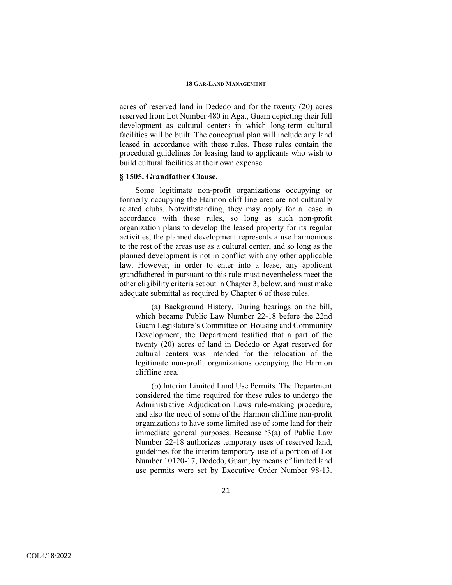acres of reserved land in Dededo and for the twenty (20) acres reserved from Lot Number 480 in Agat, Guam depicting their full development as cultural centers in which long-term cultural facilities will be built. The conceptual plan will include any land leased in accordance with these rules. These rules contain the procedural guidelines for leasing land to applicants who wish to build cultural facilities at their own expense.

## **§ 1505. Grandfather Clause.**

Some legitimate non-profit organizations occupying or formerly occupying the Harmon cliff line area are not culturally related clubs. Notwithstanding, they may apply for a lease in accordance with these rules, so long as such non-profit organization plans to develop the leased property for its regular activities, the planned development represents a use harmonious to the rest of the areas use as a cultural center, and so long as the planned development is not in conflict with any other applicable law. However, in order to enter into a lease, any applicant grandfathered in pursuant to this rule must nevertheless meet the other eligibility criteria set out in Chapter 3, below, and must make adequate submittal as required by Chapter 6 of these rules.

(a) Background History. During hearings on the bill, which became Public Law Number 22-18 before the 22nd Guam Legislature's Committee on Housing and Community Development, the Department testified that a part of the twenty (20) acres of land in Dededo or Agat reserved for cultural centers was intended for the relocation of the legitimate non-profit organizations occupying the Harmon cliffline area.

(b) Interim Limited Land Use Permits. The Department considered the time required for these rules to undergo the Administrative Adjudication Laws rule-making procedure, and also the need of some of the Harmon cliffline non-profit organizations to have some limited use of some land for their immediate general purposes. Because '3(a) of Public Law Number 22-18 authorizes temporary uses of reserved land, guidelines for the interim temporary use of a portion of Lot Number 10120-17, Dededo, Guam, by means of limited land use permits were set by Executive Order Number 98-13.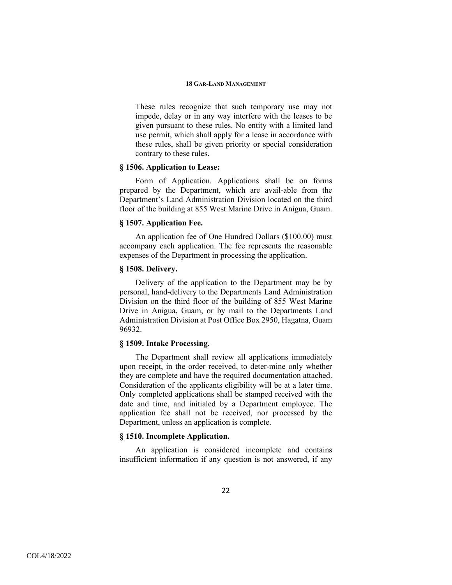These rules recognize that such temporary use may not impede, delay or in any way interfere with the leases to be given pursuant to these rules. No entity with a limited land use permit, which shall apply for a lease in accordance with these rules, shall be given priority or special consideration contrary to these rules.

## **§ 1506. Application to Lease:**

Form of Application. Applications shall be on forms prepared by the Department, which are avail-able from the Department's Land Administration Division located on the third floor of the building at 855 West Marine Drive in Anigua, Guam.

## **§ 1507. Application Fee.**

An application fee of One Hundred Dollars (\$100.00) must accompany each application. The fee represents the reasonable expenses of the Department in processing the application.

## **§ 1508. Delivery.**

Delivery of the application to the Department may be by personal, hand-delivery to the Departments Land Administration Division on the third floor of the building of 855 West Marine Drive in Anigua, Guam, or by mail to the Departments Land Administration Division at Post Office Box 2950, Hagatna, Guam 96932.

## **§ 1509. Intake Processing.**

The Department shall review all applications immediately upon receipt, in the order received, to deter-mine only whether they are complete and have the required documentation attached. Consideration of the applicants eligibility will be at a later time. Only completed applications shall be stamped received with the date and time, and initialed by a Department employee. The application fee shall not be received, nor processed by the Department, unless an application is complete.

## **§ 1510. Incomplete Application.**

An application is considered incomplete and contains insufficient information if any question is not answered, if any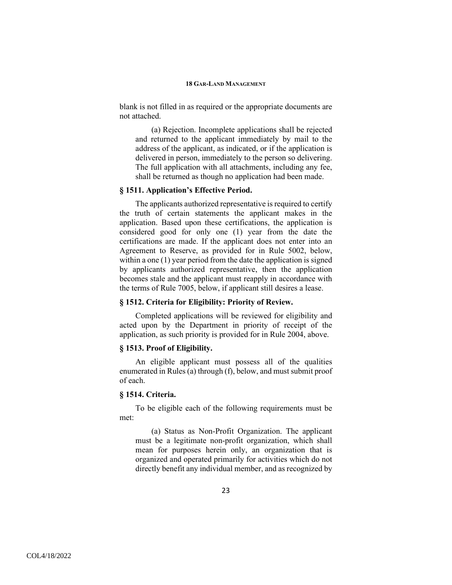blank is not filled in as required or the appropriate documents are not attached.

(a) Rejection. Incomplete applications shall be rejected and returned to the applicant immediately by mail to the address of the applicant, as indicated, or if the application is delivered in person, immediately to the person so delivering. The full application with all attachments, including any fee, shall be returned as though no application had been made.

#### **§ 1511. Application's Effective Period.**

The applicants authorized representative is required to certify the truth of certain statements the applicant makes in the application. Based upon these certifications, the application is considered good for only one (1) year from the date the certifications are made. If the applicant does not enter into an Agreement to Reserve, as provided for in Rule 5002, below, within a one (1) year period from the date the application is signed by applicants authorized representative, then the application becomes stale and the applicant must reapply in accordance with the terms of Rule 7005, below, if applicant still desires a lease.

## **§ 1512. Criteria for Eligibility: Priority of Review.**

Completed applications will be reviewed for eligibility and acted upon by the Department in priority of receipt of the application, as such priority is provided for in Rule 2004, above.

## **§ 1513. Proof of Eligibility.**

An eligible applicant must possess all of the qualities enumerated in Rules (a) through (f), below, and must submit proof of each.

## **§ 1514. Criteria.**

To be eligible each of the following requirements must be met:

(a) Status as Non-Profit Organization. The applicant must be a legitimate non-profit organization, which shall mean for purposes herein only, an organization that is organized and operated primarily for activities which do not directly benefit any individual member, and as recognized by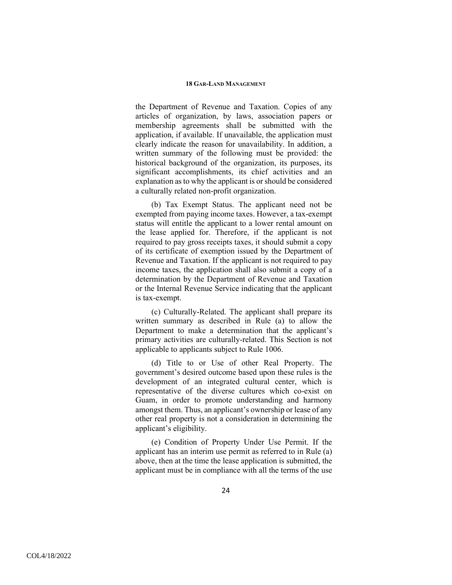the Department of Revenue and Taxation. Copies of any articles of organization, by laws, association papers or membership agreements shall be submitted with the application, if available. If unavailable, the application must clearly indicate the reason for unavailability. In addition, a written summary of the following must be provided: the historical background of the organization, its purposes, its significant accomplishments, its chief activities and an explanation as to why the applicant is or should be considered a culturally related non-profit organization.

(b) Tax Exempt Status. The applicant need not be exempted from paying income taxes. However, a tax-exempt status will entitle the applicant to a lower rental amount on the lease applied for. Therefore, if the applicant is not required to pay gross receipts taxes, it should submit a copy of its certificate of exemption issued by the Department of Revenue and Taxation. If the applicant is not required to pay income taxes, the application shall also submit a copy of a determination by the Department of Revenue and Taxation or the Internal Revenue Service indicating that the applicant is tax-exempt.

(c) Culturally-Related. The applicant shall prepare its written summary as described in Rule (a) to allow the Department to make a determination that the applicant's primary activities are culturally-related. This Section is not applicable to applicants subject to Rule 1006.

(d) Title to or Use of other Real Property. The government's desired outcome based upon these rules is the development of an integrated cultural center, which is representative of the diverse cultures which co-exist on Guam, in order to promote understanding and harmony amongst them. Thus, an applicant's ownership or lease of any other real property is not a consideration in determining the applicant's eligibility.

(e) Condition of Property Under Use Permit. If the applicant has an interim use permit as referred to in Rule (a) above, then at the time the lease application is submitted, the applicant must be in compliance with all the terms of the use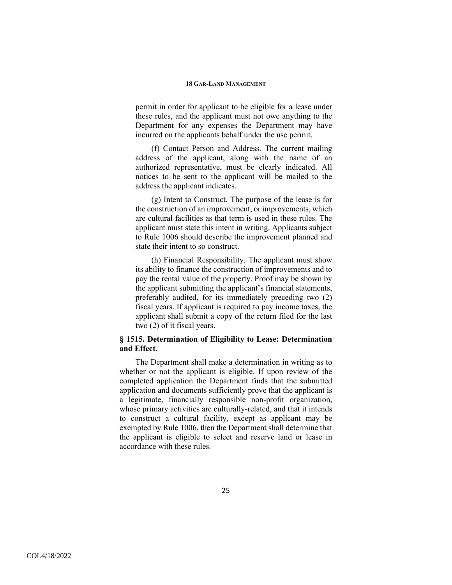permit in order for applicant to be eligible for a lease under these rules, and the applicant must not owe anything to the Department for any expenses the Department may have incurred on the applicants behalf under the use permit.

(f) Contact Person and Address. The current mailing address of the applicant, along with the name of an authorized representative, must be clearly indicated. All notices to be sent to the applicant will be mailed to the address the applicant indicates.

(g) Intent to Construct. The purpose of the lease is for the construction of an improvement, or improvements, which are cultural facilities as that term is used in these rules. The applicant must state this intent in writing. Applicants subject to Rule 1006 should describe the improvement planned and state their intent to so construct.

(h) Financial Responsibility. The applicant must show its ability to finance the construction of improvements and to pay the rental value of the property. Proof may be shown by the applicant submitting the applicant's financial statements, preferably audited, for its immediately preceding two (2) fiscal years. If applicant is required to pay income taxes, the applicant shall submit a copy of the return filed for the last two (2) of it fiscal years.

## **§ 1515. Determination of Eligibility to Lease: Determination and Effect.**

The Department shall make a determination in writing as to whether or not the applicant is eligible. If upon review of the completed application the Department finds that the submitted application and documents sufficiently prove that the applicant is a legitimate, financially responsible non-profit organization, whose primary activities are culturally-related, and that it intends to construct a cultural facility, except as applicant may be exempted by Rule 1006, then the Department shall determine that the applicant is eligible to select and reserve land or lease in accordance with these rules.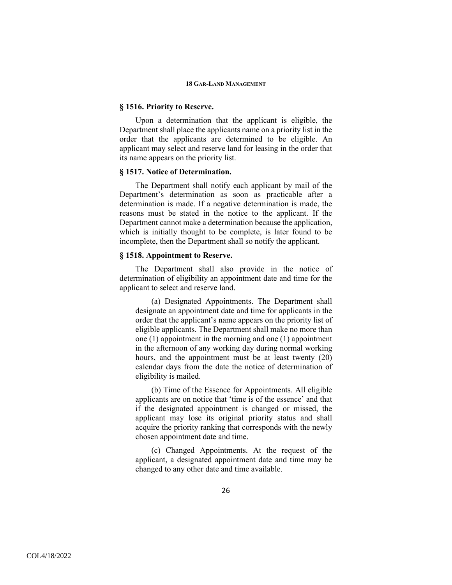### **§ 1516. Priority to Reserve.**

Upon a determination that the applicant is eligible, the Department shall place the applicants name on a priority list in the order that the applicants are determined to be eligible. An applicant may select and reserve land for leasing in the order that its name appears on the priority list.

## **§ 1517. Notice of Determination.**

The Department shall notify each applicant by mail of the Department's determination as soon as practicable after a determination is made. If a negative determination is made, the reasons must be stated in the notice to the applicant. If the Department cannot make a determination because the application, which is initially thought to be complete, is later found to be incomplete, then the Department shall so notify the applicant.

## **§ 1518. Appointment to Reserve.**

The Department shall also provide in the notice of determination of eligibility an appointment date and time for the applicant to select and reserve land.

(a) Designated Appointments. The Department shall designate an appointment date and time for applicants in the order that the applicant's name appears on the priority list of eligible applicants. The Department shall make no more than one (1) appointment in the morning and one (1) appointment in the afternoon of any working day during normal working hours, and the appointment must be at least twenty (20) calendar days from the date the notice of determination of eligibility is mailed.

(b) Time of the Essence for Appointments. All eligible applicants are on notice that 'time is of the essence' and that if the designated appointment is changed or missed, the applicant may lose its original priority status and shall acquire the priority ranking that corresponds with the newly chosen appointment date and time.

(c) Changed Appointments. At the request of the applicant, a designated appointment date and time may be changed to any other date and time available.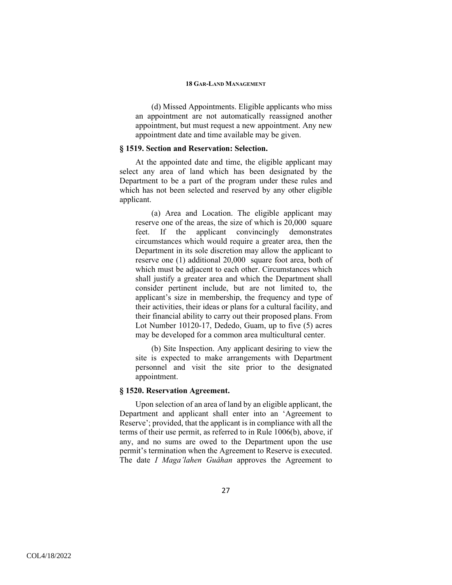(d) Missed Appointments. Eligible applicants who miss an appointment are not automatically reassigned another appointment, but must request a new appointment. Any new appointment date and time available may be given.

## **§ 1519. Section and Reservation: Selection.**

At the appointed date and time, the eligible applicant may select any area of land which has been designated by the Department to be a part of the program under these rules and which has not been selected and reserved by any other eligible applicant.

(a) Area and Location. The eligible applicant may reserve one of the areas, the size of which is 20,000 square feet. If the applicant convincingly demonstrates circumstances which would require a greater area, then the Department in its sole discretion may allow the applicant to reserve one (1) additional 20,000 square foot area, both of which must be adjacent to each other. Circumstances which shall justify a greater area and which the Department shall consider pertinent include, but are not limited to, the applicant's size in membership, the frequency and type of their activities, their ideas or plans for a cultural facility, and their financial ability to carry out their proposed plans. From Lot Number 10120-17, Dededo, Guam, up to five (5) acres may be developed for a common area multicultural center.

(b) Site Inspection. Any applicant desiring to view the site is expected to make arrangements with Department personnel and visit the site prior to the designated appointment.

## **§ 1520. Reservation Agreement.**

Upon selection of an area of land by an eligible applicant, the Department and applicant shall enter into an 'Agreement to Reserve'; provided, that the applicant is in compliance with all the terms of their use permit, as referred to in Rule 1006(b), above, if any, and no sums are owed to the Department upon the use permit's termination when the Agreement to Reserve is executed. The date *I Maga'lahen Guåhan* approves the Agreement to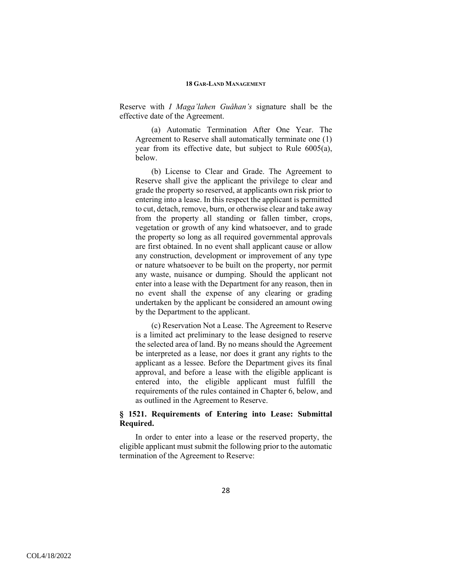Reserve with *I Maga'lahen Guåhan's* signature shall be the effective date of the Agreement.

(a) Automatic Termination After One Year. The Agreement to Reserve shall automatically terminate one (1) year from its effective date, but subject to Rule 6005(a), below.

(b) License to Clear and Grade. The Agreement to Reserve shall give the applicant the privilege to clear and grade the property so reserved, at applicants own risk prior to entering into a lease. In this respect the applicant is permitted to cut, detach, remove, burn, or otherwise clear and take away from the property all standing or fallen timber, crops, vegetation or growth of any kind whatsoever, and to grade the property so long as all required governmental approvals are first obtained. In no event shall applicant cause or allow any construction, development or improvement of any type or nature whatsoever to be built on the property, nor permit any waste, nuisance or dumping. Should the applicant not enter into a lease with the Department for any reason, then in no event shall the expense of any clearing or grading undertaken by the applicant be considered an amount owing by the Department to the applicant.

(c) Reservation Not a Lease. The Agreement to Reserve is a limited act preliminary to the lease designed to reserve the selected area of land. By no means should the Agreement be interpreted as a lease, nor does it grant any rights to the applicant as a lessee. Before the Department gives its final approval, and before a lease with the eligible applicant is entered into, the eligible applicant must fulfill the requirements of the rules contained in Chapter 6, below, and as outlined in the Agreement to Reserve.

## **§ 1521. Requirements of Entering into Lease: Submittal Required.**

In order to enter into a lease or the reserved property, the eligible applicant must submit the following prior to the automatic termination of the Agreement to Reserve: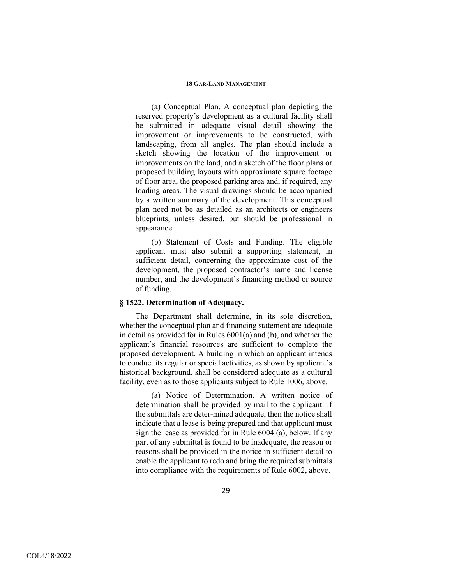(a) Conceptual Plan. A conceptual plan depicting the reserved property's development as a cultural facility shall be submitted in adequate visual detail showing the improvement or improvements to be constructed, with landscaping, from all angles. The plan should include a sketch showing the location of the improvement or improvements on the land, and a sketch of the floor plans or proposed building layouts with approximate square footage of floor area, the proposed parking area and, if required, any loading areas. The visual drawings should be accompanied by a written summary of the development. This conceptual plan need not be as detailed as an architects or engineers blueprints, unless desired, but should be professional in appearance.

(b) Statement of Costs and Funding. The eligible applicant must also submit a supporting statement, in sufficient detail, concerning the approximate cost of the development, the proposed contractor's name and license number, and the development's financing method or source of funding.

## **§ 1522. Determination of Adequacy.**

The Department shall determine, in its sole discretion, whether the conceptual plan and financing statement are adequate in detail as provided for in Rules 6001(a) and (b), and whether the applicant's financial resources are sufficient to complete the proposed development. A building in which an applicant intends to conduct its regular or special activities, as shown by applicant's historical background, shall be considered adequate as a cultural facility, even as to those applicants subject to Rule 1006, above.

(a) Notice of Determination. A written notice of determination shall be provided by mail to the applicant. If the submittals are deter-mined adequate, then the notice shall indicate that a lease is being prepared and that applicant must sign the lease as provided for in Rule 6004 (a), below. If any part of any submittal is found to be inadequate, the reason or reasons shall be provided in the notice in sufficient detail to enable the applicant to redo and bring the required submittals into compliance with the requirements of Rule 6002, above.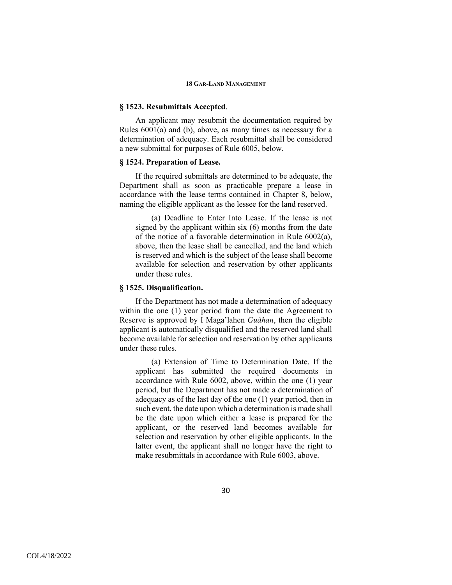#### **§ 1523. Resubmittals Accepted**.

An applicant may resubmit the documentation required by Rules 6001(a) and (b), above, as many times as necessary for a determination of adequacy. Each resubmittal shall be considered a new submittal for purposes of Rule 6005, below.

## **§ 1524. Preparation of Lease.**

If the required submittals are determined to be adequate, the Department shall as soon as practicable prepare a lease in accordance with the lease terms contained in Chapter 8, below, naming the eligible applicant as the lessee for the land reserved.

(a) Deadline to Enter Into Lease. If the lease is not signed by the applicant within six (6) months from the date of the notice of a favorable determination in Rule 6002(a), above, then the lease shall be cancelled, and the land which is reserved and which is the subject of the lease shall become available for selection and reservation by other applicants under these rules.

## **§ 1525. Disqualification.**

If the Department has not made a determination of adequacy within the one (1) year period from the date the Agreement to Reserve is approved by I Maga'lahen *Guåhan*, then the eligible applicant is automatically disqualified and the reserved land shall become available for selection and reservation by other applicants under these rules.

(a) Extension of Time to Determination Date. If the applicant has submitted the required documents in accordance with Rule 6002, above, within the one (1) year period, but the Department has not made a determination of adequacy as of the last day of the one (1) year period, then in such event, the date upon which a determination is made shall be the date upon which either a lease is prepared for the applicant, or the reserved land becomes available for selection and reservation by other eligible applicants. In the latter event, the applicant shall no longer have the right to make resubmittals in accordance with Rule 6003, above.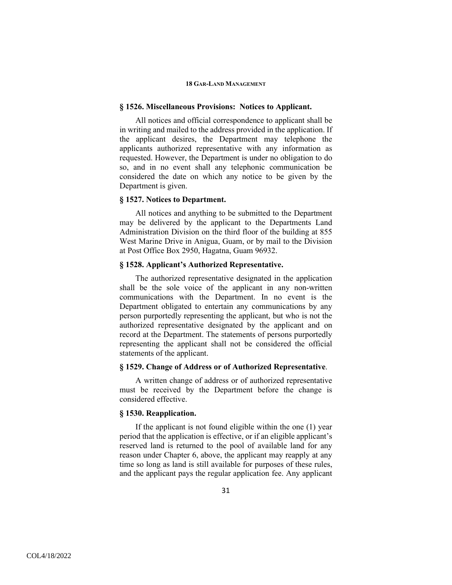#### **§ 1526. Miscellaneous Provisions: Notices to Applicant.**

All notices and official correspondence to applicant shall be in writing and mailed to the address provided in the application. If the applicant desires, the Department may telephone the applicants authorized representative with any information as requested. However, the Department is under no obligation to do so, and in no event shall any telephonic communication be considered the date on which any notice to be given by the Department is given.

## **§ 1527. Notices to Department.**

All notices and anything to be submitted to the Department may be delivered by the applicant to the Departments Land Administration Division on the third floor of the building at 855 West Marine Drive in Anigua, Guam, or by mail to the Division at Post Office Box 2950, Hagatna, Guam 96932.

## **§ 1528. Applicant's Authorized Representative.**

The authorized representative designated in the application shall be the sole voice of the applicant in any non-written communications with the Department. In no event is the Department obligated to entertain any communications by any person purportedly representing the applicant, but who is not the authorized representative designated by the applicant and on record at the Department. The statements of persons purportedly representing the applicant shall not be considered the official statements of the applicant.

## **§ 1529. Change of Address or of Authorized Representative**.

A written change of address or of authorized representative must be received by the Department before the change is considered effective.

## **§ 1530. Reapplication.**

If the applicant is not found eligible within the one (1) year period that the application is effective, or if an eligible applicant's reserved land is returned to the pool of available land for any reason under Chapter 6, above, the applicant may reapply at any time so long as land is still available for purposes of these rules, and the applicant pays the regular application fee. Any applicant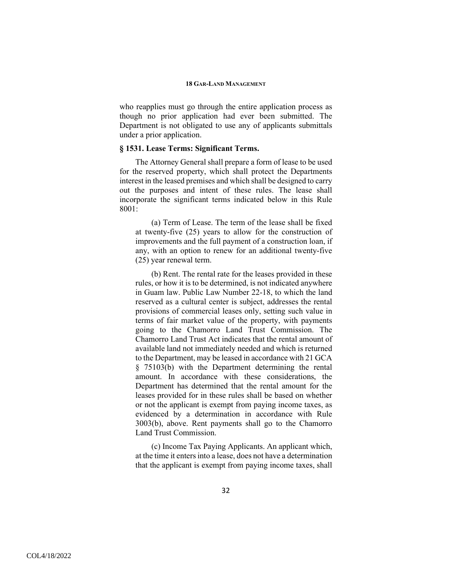who reapplies must go through the entire application process as though no prior application had ever been submitted. The Department is not obligated to use any of applicants submittals under a prior application.

## **§ 1531. Lease Terms: Significant Terms.**

The Attorney General shall prepare a form of lease to be used for the reserved property, which shall protect the Departments interest in the leased premises and which shall be designed to carry out the purposes and intent of these rules. The lease shall incorporate the significant terms indicated below in this Rule  $8001 -$ 

(a) Term of Lease. The term of the lease shall be fixed at twenty-five (25) years to allow for the construction of improvements and the full payment of a construction loan, if any, with an option to renew for an additional twenty-five (25) year renewal term.

(b) Rent. The rental rate for the leases provided in these rules, or how it is to be determined, is not indicated anywhere in Guam law. Public Law Number 22-18, to which the land reserved as a cultural center is subject, addresses the rental provisions of commercial leases only, setting such value in terms of fair market value of the property, with payments going to the Chamorro Land Trust Commission. The Chamorro Land Trust Act indicates that the rental amount of available land not immediately needed and which is returned to the Department, may be leased in accordance with 21 GCA § 75103(b) with the Department determining the rental amount. In accordance with these considerations, the Department has determined that the rental amount for the leases provided for in these rules shall be based on whether or not the applicant is exempt from paying income taxes, as evidenced by a determination in accordance with Rule 3003(b), above. Rent payments shall go to the Chamorro Land Trust Commission.

(c) Income Tax Paying Applicants. An applicant which, at the time it enters into a lease, does not have a determination that the applicant is exempt from paying income taxes, shall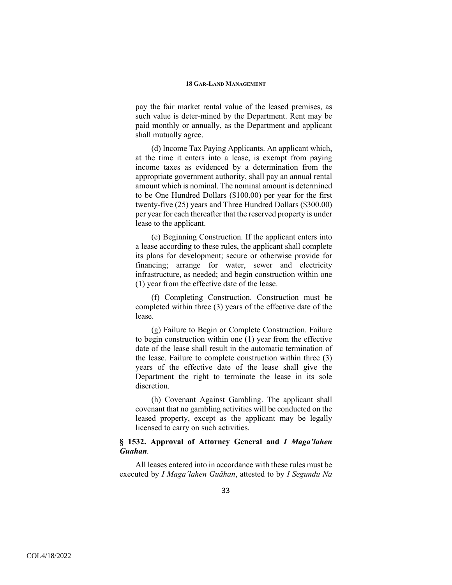pay the fair market rental value of the leased premises, as such value is deter-mined by the Department. Rent may be paid monthly or annually, as the Department and applicant shall mutually agree.

(d) Income Tax Paying Applicants. An applicant which, at the time it enters into a lease, is exempt from paying income taxes as evidenced by a determination from the appropriate government authority, shall pay an annual rental amount which is nominal. The nominal amount is determined to be One Hundred Dollars (\$100.00) per year for the first twenty-five (25) years and Three Hundred Dollars (\$300.00) per year for each thereafter that the reserved property is under lease to the applicant.

(e) Beginning Construction. If the applicant enters into a lease according to these rules, the applicant shall complete its plans for development; secure or otherwise provide for financing; arrange for water, sewer and electricity infrastructure, as needed; and begin construction within one (1) year from the effective date of the lease.

(f) Completing Construction. Construction must be completed within three (3) years of the effective date of the lease.

(g) Failure to Begin or Complete Construction. Failure to begin construction within one (1) year from the effective date of the lease shall result in the automatic termination of the lease. Failure to complete construction within three (3) years of the effective date of the lease shall give the Department the right to terminate the lease in its sole discretion.

(h) Covenant Against Gambling. The applicant shall covenant that no gambling activities will be conducted on the leased property, except as the applicant may be legally licensed to carry on such activities.

## **§ 1532. Approval of Attorney General and** *I Maga'lahen Guahan.*

All leases entered into in accordance with these rules must be executed by *I Maga'lahen Guåhan*, attested to by *I Segundu Na*